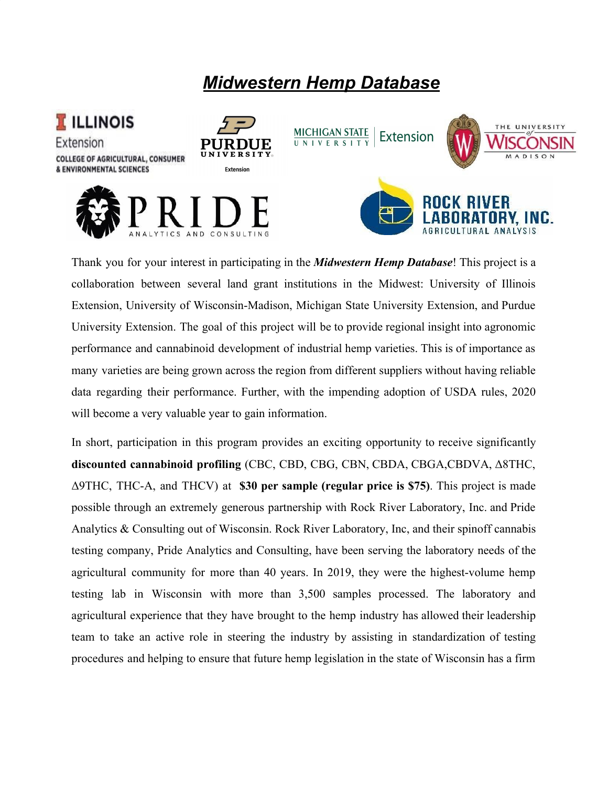# *Midwestern Hemp Database*



Thank you for your interest in participating in the *Midwestern Hemp Database*! This project is a collaboration between several land grant institutions in the Midwest: University of Illinois Extension, University of Wisconsin-Madison, Michigan State University Extension, and Purdue University Extension. The goal of this project will be to provide regional insight into agronomic performance and cannabinoid development of industrial hemp varieties. This is of importance as many varieties are being grown across the region from different suppliers without having reliable data regarding their performance. Further, with the impending adoption of USDA rules, 2020 will become a very valuable year to gain information.

In short, participation in this program provides an exciting opportunity to receive significantly **discounted cannabinoid profiling** (CBC, CBD, CBG, CBN, CBDA, CBGA,CBDVA, Δ8THC, Δ9THC, THC-A, and THCV) at **\$30 per sample (regular price is \$75)**. This project is made possible through an extremely generous partnership with Rock River Laboratory, Inc. and Pride Analytics & Consulting out of Wisconsin. Rock River Laboratory, Inc, and their spinoff cannabis testing company, Pride Analytics and Consulting, have been serving the laboratory needs of the agricultural community for more than 40 years. In 2019, they were the highest-volume hemp testing lab in Wisconsin with more than 3,500 samples processed. The laboratory and agricultural experience that they have brought to the hemp industry has allowed their leadership team to take an active role in steering the industry by assisting in standardization of testing procedures and helping to ensure that future hemp legislation in the state of Wisconsin has a firm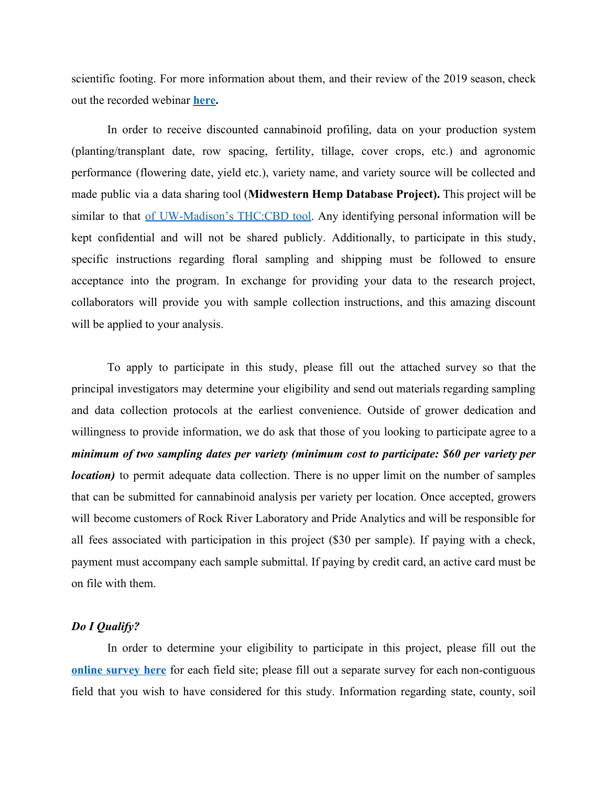scientific footing. For more information about them, and their review of the 2019 season, check out the recorded webinar **[here.](https://www.youtube.com/watch?v=3cRQ9_fs4Rs&feature=youtu.be)**

In order to receive discounted cannabinoid profiling, data on your production system (planting/transplant date, row spacing, fertility, tillage, cover crops, etc.) and agronomic performance (flowering date, yield etc.), variety name, and variety source will be collected and made public via a data sharing tool (**Midwestern Hemp Database Project).** This project will be similar to that <u>of [UW-Madison's](https://fyi.extension.wisc.edu/hemp/statewide-cbd-and-thc-testing-information-sharing/report/) THC:CBD tool</u>. Any identifying personal information will be kept confidential and will not be shared publicly. Additionally, to participate in this study, specific instructions regarding floral sampling and shipping must be followed to ensure acceptance into the program. In exchange for providing your data to the research project, collaborators will provide you with sample collection instructions, and this amazing discount will be applied to your analysis.

To apply to participate in this study, please fill out the attached survey so that the principal investigators may determine your eligibility and send out materials regarding sampling and data collection protocols at the earliest convenience. Outside of grower dedication and willingness to provide information, we do ask that those of you looking to participate agree to a *minimum of two sampling dates per variety (minimum cost to participate: \$60 per variety per location*) to permit adequate data collection. There is no upper limit on the number of samples that can be submitted for cannabinoid analysis per variety per location. Once accepted, growers will become customers of Rock River Laboratory and Pride Analytics and will be responsible for all fees associated with participation in this project (\$30 per sample). If paying with a check, payment must accompany each sample submittal. If paying by credit card, an active card must be on file with them.

## *Do I Qualify?*

In order to determine your eligibility to participate in this project, please fill out the **online [survey](https://docs.google.com/forms/d/e/1FAIpQLSexF1Ur2Hxq99jhW4Sc231Rt8NpR4doXMxjt0DiHyrT3X5W7A/viewform) here** for each field site; please fill out a separate survey for each non-contiguous field that you wish to have considered for this study. Information regarding state, county, soil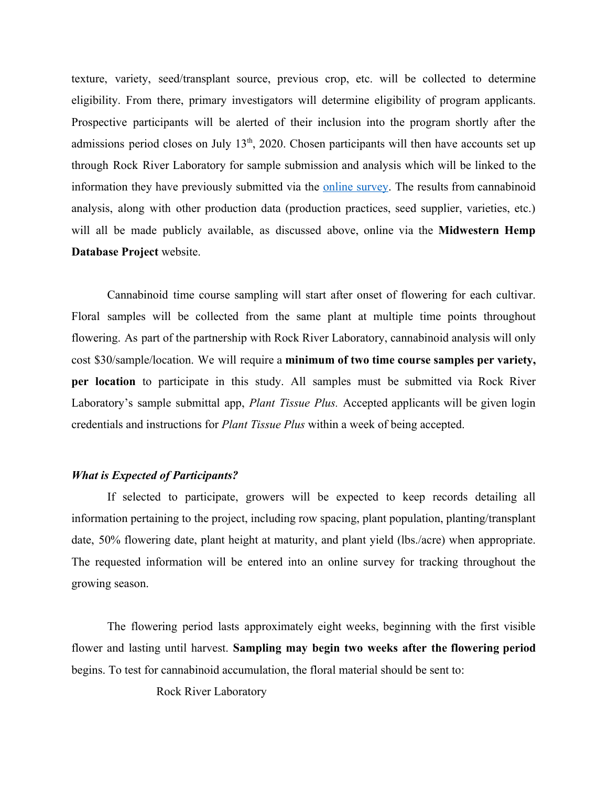texture, variety, seed/transplant source, previous crop, etc. will be collected to determine eligibility. From there, primary investigators will determine eligibility of program applicants. Prospective participants will be alerted of their inclusion into the program shortly after the admissions period closes on July 13<sup>th</sup>, 2020. Chosen participants will then have accounts set up through Rock River Laboratory for sample submission and analysis which will be linked to the information they have previously submitted via the online [survey.](https://docs.google.com/forms/d/e/1FAIpQLSexF1Ur2Hxq99jhW4Sc231Rt8NpR4doXMxjt0DiHyrT3X5W7A/viewform) The results from cannabinoid analysis, along with other production data (production practices, seed supplier, varieties, etc.) will all be made publicly available, as discussed above, online via the **Midwestern Hemp Database Project** website.

Cannabinoid time course sampling will start after onset of flowering for each cultivar. Floral samples will be collected from the same plant at multiple time points throughout flowering. As part of the partnership with Rock River Laboratory, cannabinoid analysis will only cost \$30/sample/location. We will require a **minimum of two time course samples per variety, per location** to participate in this study. All samples must be submitted via Rock River Laboratory's sample submittal app, *Plant Tissue Plus.* Accepted applicants will be given login credentials and instructions for *Plant Tissue Plus* within a week of being accepted.

# *What is Expected of Participants?*

If selected to participate, growers will be expected to keep records detailing all information pertaining to the project, including row spacing, plant population, planting/transplant date, 50% flowering date, plant height at maturity, and plant yield (lbs./acre) when appropriate. The requested information will be entered into an online survey for tracking throughout the growing season.

The flowering period lasts approximately eight weeks, beginning with the first visible flower and lasting until harvest. **Sampling may begin two weeks after the flowering period** begins. To test for cannabinoid accumulation, the floral material should be sent to:

Rock River Laboratory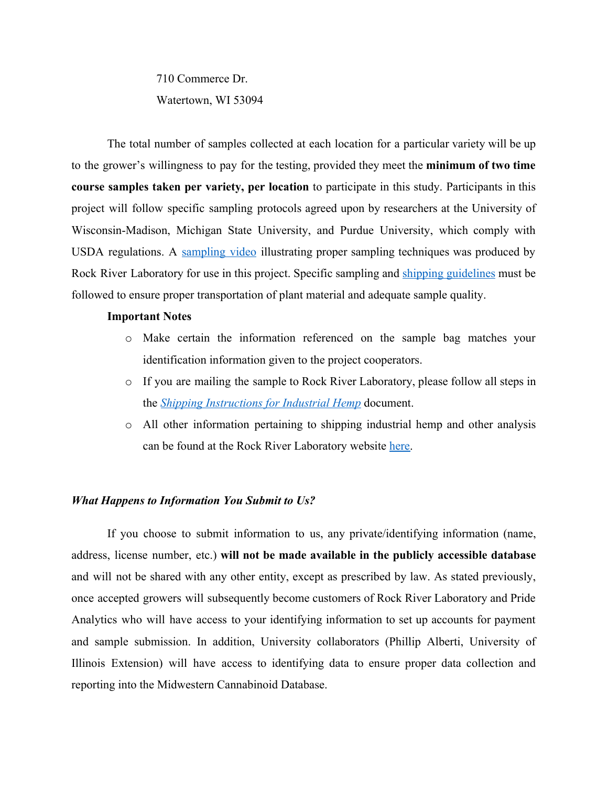710 Commerce Dr. Watertown, WI 53094

The total number of samples collected at each location for a particular variety will be up to the grower's willingness to pay for the testing, provided they meet the **minimum of two time course samples taken per variety, per location** to participate in this study. Participants in this project will follow specific sampling protocols agreed upon by researchers at the University of Wisconsin-Madison, Michigan State University, and Purdue University, which comply with USDA regulations. A [sampling](https://www.youtube.com/watch?v=4W8n-u4QijA) video illustrating proper sampling techniques was produced by Rock River Laboratory for use in this project. Specific sampling and shipping [guidelines](https://www.rockriverlab.com/file_open.php?id=276) must be followed to ensure proper transportation of plant material and adequate sample quality.

### **Important Notes**

- o Make certain the information referenced on the sample bag matches your identification information given to the project cooperators.
- o If you are mailing the sample to Rock River Laboratory, please follow all steps in the *[Shipping Instructions for Industrial Hemp](https://www.rockriverlab.com/file_open.php?id=285)* document.
- o All other information pertaining to shipping industrial hemp and other analysis can be found at the Rock River Laboratory website [here.](https://www.rockriverlab.com/pages/Hemp.php)

#### *What Happens to Information You Submit to Us?*

If you choose to submit information to us, any private/identifying information (name, address, license number, etc.) **will not be made available in the publicly accessible database** and will not be shared with any other entity, except as prescribed by law. As stated previously, once accepted growers will subsequently become customers of Rock River Laboratory and Pride Analytics who will have access to your identifying information to set up accounts for payment and sample submission. In addition, University collaborators (Phillip Alberti, University of Illinois Extension) will have access to identifying data to ensure proper data collection and reporting into the Midwestern Cannabinoid Database.